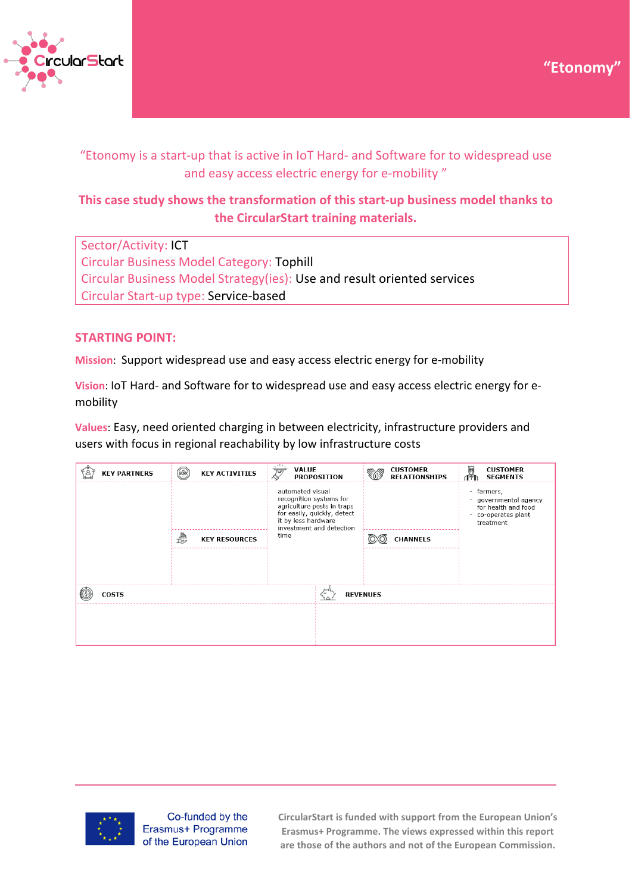



# "Etonomy is a start-up that is active in IoT Hard- and Software for to widespread use and easy access electric energy for e-mobility "

# **This case study shows the transformation of this start-up business model thanks to the CircularStart training materials.**

Sector/Activity: ICT Circular Business Model Category: Tophill Circular Business Model Strategy(ies): Use and result oriented services Circular Start-up type: Service-based

## **STARTING POINT:**

**Mission**: Support widespread use and easy access electric energy for e-mobility

**Vision**: IoT Hard- and Software for to widespread use and easy access electric energy for emobility

**Values**: Easy, need oriented charging in between electricity, infrastructure providers and users with focus in regional reachability by low infrastructure costs

| <b>CUSTOMER</b><br><b>SEGMENTS</b>                                                       |
|------------------------------------------------------------------------------------------|
| farmers,<br>governmental agency<br>for health and food<br>co-operates plant<br>treatment |
|                                                                                          |
|                                                                                          |
|                                                                                          |
|                                                                                          |
|                                                                                          |
|                                                                                          |
|                                                                                          |



Co-funded by the Erasmus+ Programme of the European Union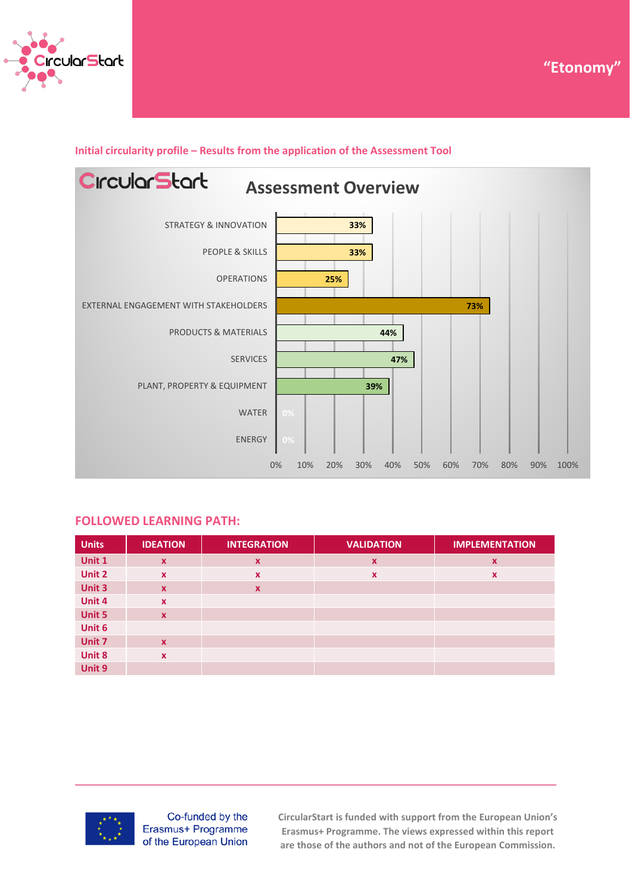



### **Initial circularity profile – Results from the application of the Assessment Tool**



#### **FOLLOWED LEARNING PATH:**

| <b>Units</b> | <b>IDEATION</b>           | <b>INTEGRATION</b>        | <b>VALIDATION</b>         | <b>IMPLEMENTATION</b>     |
|--------------|---------------------------|---------------------------|---------------------------|---------------------------|
| Unit 1       | $\mathbf{x}$              | $\boldsymbol{\mathsf{x}}$ | $\mathbf x$               | $\mathbf x$               |
| Unit 2       | $\mathbf{x}$              | $\boldsymbol{\mathsf{x}}$ | $\boldsymbol{\mathsf{x}}$ | $\boldsymbol{\mathsf{x}}$ |
| Unit 3       | $\mathbf{x}$              | $\boldsymbol{\mathsf{x}}$ |                           |                           |
| Unit 4       | $\mathbf{x}$              |                           |                           |                           |
| Unit 5       | $\mathbf x$               |                           |                           |                           |
| Unit 6       |                           |                           |                           |                           |
| Unit 7       | $\mathbf x$               |                           |                           |                           |
| Unit 8       | $\boldsymbol{\mathsf{x}}$ |                           |                           |                           |
| Unit 9       |                           |                           |                           |                           |



Co-funded by the Erasmus+ Programme of the European Union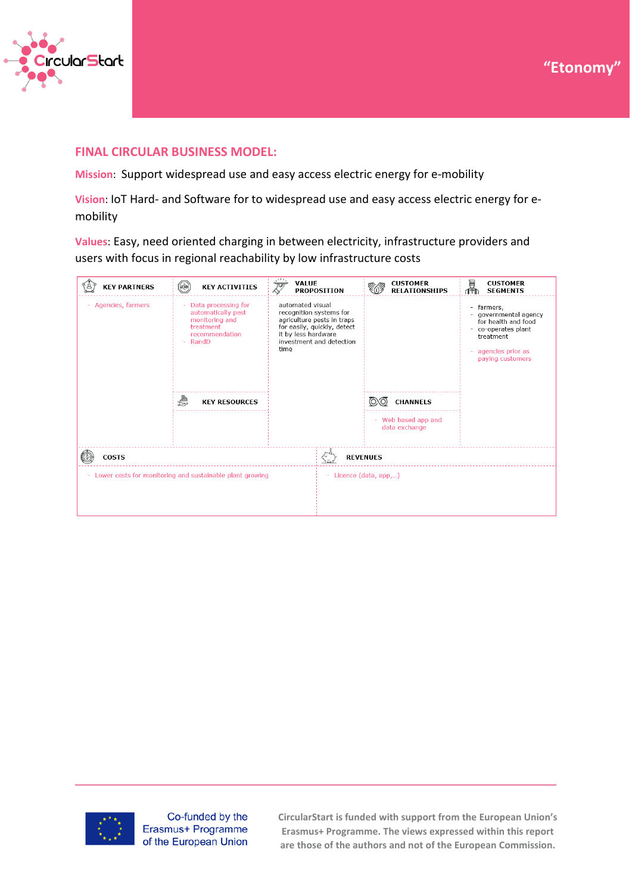



## **FINAL CIRCULAR BUSINESS MODEL:**

**Mission**: Support widespread use and easy access electric energy for e-mobility

**Vision**: IoT Hard- and Software for to widespread use and easy access electric energy for emobility

**Values**: Easy, need oriented charging in between electricity, infrastructure providers and users with focus in regional reachability by low infrastructure costs

| <b>KEY PARTNERS</b>                                      | $\begin{pmatrix} \overline{10} \\ \overline{2} \end{pmatrix}$<br><b>KEY ACTIVITIES</b>                                                | $\cdot$<br><b>VALUE</b><br>$\overline{\mathcal{S}}$<br><b>PROPOSITION</b>                                                                                           | <b>CUSTOMER</b><br><b>RELATIONSHIPS</b>               | in.<br><b>CUSTOMER</b><br><b>SEGMENTS</b>                                                                                              |
|----------------------------------------------------------|---------------------------------------------------------------------------------------------------------------------------------------|---------------------------------------------------------------------------------------------------------------------------------------------------------------------|-------------------------------------------------------|----------------------------------------------------------------------------------------------------------------------------------------|
| Agencies, farmers                                        | Data processing for<br>÷<br>automatically pest<br>monitoring and<br>treatment<br>recommendation<br>RandD<br>€<br><b>KEY RESOURCES</b> | automated visual<br>recognition systems for<br>agriculture pests in traps<br>for easily, quickly, detect<br>it by less hardware<br>investment and detection<br>time | <b>CHANNELS</b><br>Web based app and<br>data exchange | farmers,<br>÷<br>governmental agency<br>for health and food<br>co-operates plant<br>treatment<br>agencies prior as<br>paying customers |
| <b>COSTS</b>                                             |                                                                                                                                       |                                                                                                                                                                     | <b>REVENUES</b>                                       |                                                                                                                                        |
| Lower costs for monitoring and sustainable plant growing |                                                                                                                                       |                                                                                                                                                                     | - Licence (data, app,)                                |                                                                                                                                        |



Co-funded by the Erasmus+ Programme of the European Union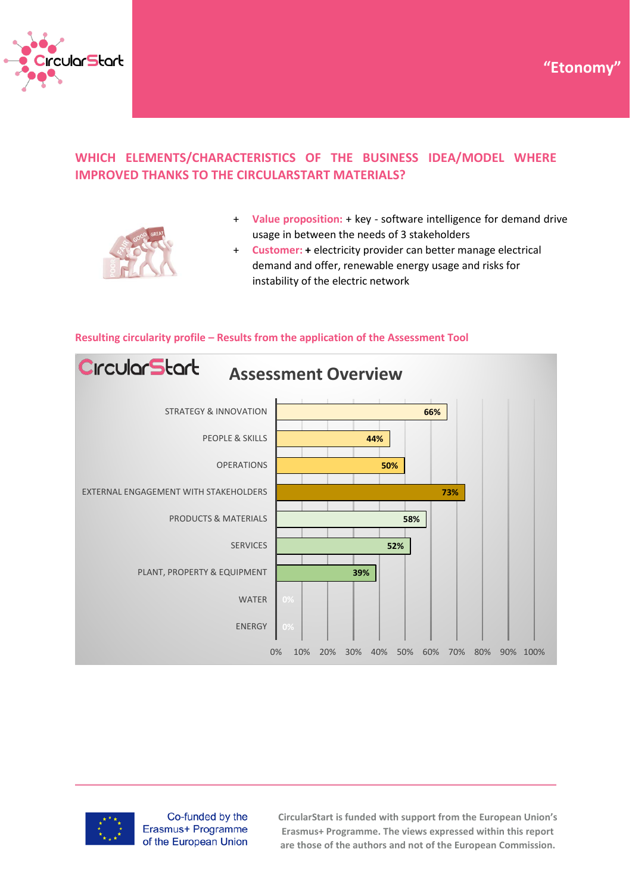



## **WHICH ELEMENTS/CHARACTERISTICS OF THE BUSINESS IDEA/MODEL WHERE IMPROVED THANKS TO THE CIRCULARSTART MATERIALS?**



- + **Value proposition:** + key software intelligence for demand drive usage in between the needs of 3 stakeholders
- + **Customer: +** electricity provider can better manage electrical demand and offer, renewable energy usage and risks for instability of the electric network



#### **Resulting circularity profile – Results from the application of the Assessment Tool**



Co-funded by the Erasmus+ Programme of the European Union